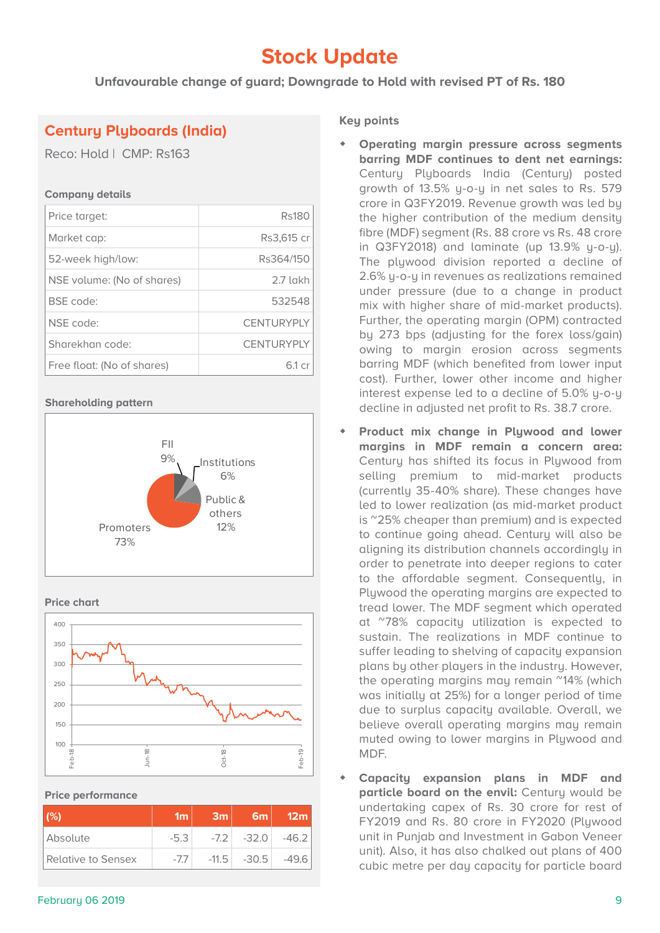## **Stock Update**

**Unfavourable change of guard; Downgrade to Hold with revised PT of Rs. 180**

## **Century Plyboards (India)**

Reco: Hold | CMP: Rs163

#### **Company details**

| Price target:              | <b>Rs180</b>      |
|----------------------------|-------------------|
| Market cap:                | Rs3,615 cr        |
| 52-week high/low:          | Rs364/150         |
| NSE volume: (No of shares) | 2.7 lakh          |
| <b>BSE</b> code:           | 532548            |
| NSE code:                  | <b>CENTURYPLY</b> |
| Sharekhan code:            | <b>CENTURYPLY</b> |
| Free float: (No of shares) | 61 cr             |

#### **Shareholding pattern**







**Price performance**

| (%)                | 1m     | 3m | 6m              | 12 <sub>m</sub> |
|--------------------|--------|----|-----------------|-----------------|
| Absolute           | $-5.3$ |    | $-7.2$ $-32.0$  | $-46.2$         |
| Relative to Sensex | $-1.1$ |    | $-11.5$ $-30.5$ | -49.61          |

### **Key points**

- **Operating margin pressure across segments barring MDF continues to dent net earnings:**  Century Plyboards India (Century) posted growth of 13.5% y-o-y in net sales to Rs. 579 crore in Q3FY2019. Revenue growth was led by the higher contribution of the medium density fibre (MDF) segment (Rs. 88 crore vs Rs. 48 crore in Q3FY2018) and laminate (up 13.9% y-o-y). The plywood division reported a decline of 2.6% y-o-y in revenues as realizations remained under pressure (due to a change in product mix with higher share of mid-market products). Further, the operating margin (OPM) contracted by 273 bps (adjusting for the forex loss/gain) owing to margin erosion across segments barring MDF (which benefited from lower input cost). Further, lower other income and higher interest expense led to a decline of 5.0% y-o-y decline in adjusted net profit to Rs. 38.7 crore.
- **Product mix change in Plywood and lower margins in MDF remain a concern area:**  Century has shifted its focus in Plywood from selling premium to mid-market products (currently 35-40% share). These changes have led to lower realization (as mid-market product is ~25% cheaper than premium) and is expected to continue going ahead. Century will also be aligning its distribution channels accordingly in order to penetrate into deeper regions to cater to the affordable segment. Consequently, in Plywood the operating margins are expected to tread lower. The MDF segment which operated at ~78% capacity utilization is expected to sustain. The realizations in MDF continue to suffer leading to shelving of capacity expansion plans by other players in the industry. However, the operating margins may remain ~14% (which was initially at 25%) for a longer period of time due to surplus capacity available. Overall, we believe overall operating margins may remain muted owing to lower margins in Plywood and MDF.
- **Capacity expansion plans in MDF and particle board on the envil:** Century would be undertaking capex of Rs. 30 crore for rest of FY2019 and Rs. 80 crore in FY2020 (Plywood unit in Punjab and Investment in Gabon Veneer unit). Also, it has also chalked out plans of 400 cubic metre per day capacity for particle board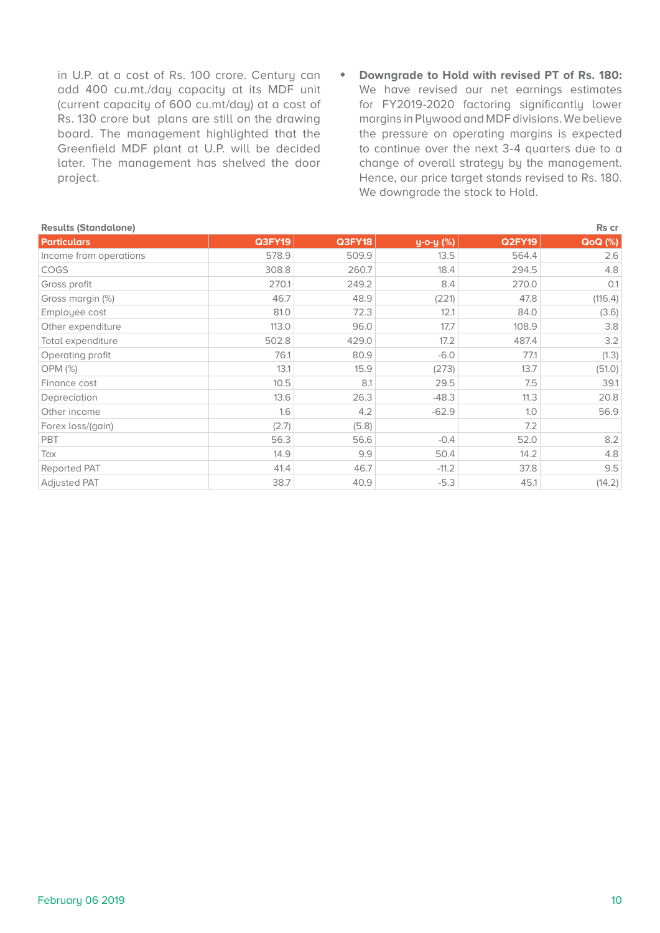in U.P. at a cost of Rs. 100 crore. Century can add 400 cu.mt./day capacity at its MDF unit (current capacity of 600 cu.mt/day) at a cost of Rs. 130 crore but plans are still on the drawing board. The management highlighted that the Greenfield MDF plant at U.P. will be decided later. The management has shelved the door project.

 **Downgrade to Hold with revised PT of Rs. 180:** We have revised our net earnings estimates for FY2019-2020 factoring significantly lower margins in Plywood and MDF divisions. We believe the pressure on operating margins is expected to continue over the next 3-4 quarters due to a change of overall strategy by the management. Hence, our price target stands revised to Rs. 180. We downgrade the stock to Hold.

| <b>Results (Standalone)</b><br>Rs cr |               |               |           |               |                |
|--------------------------------------|---------------|---------------|-----------|---------------|----------------|
| <b>Particulars</b>                   | <b>Q3FY19</b> | <b>Q3FY18</b> | y-o-y (%) | <b>Q2FY19</b> | <b>QoQ</b> (%) |
| Income from operations               | 578.9         | 509.9         | 13.5      | 564.4         | 2.6            |
| <b>COGS</b>                          | 308.8         | 260.7         | 18.4      | 294.5         | 4.8            |
| Gross profit                         | 270.1         | 249.2         | 8.4       | 270.0         | O.1            |
| Gross margin (%)                     | 46.7          | 48.9          | (221)     | 47.8          | (116.4)        |
| Employee cost                        | 81.0          | 72.3          | 12.1      | 84.0          | (3.6)          |
| Other expenditure                    | 113.0         | 96.0          | 17.7      | 108.9         | 3.8            |
| Total expenditure                    | 502.8         | 429.0         | 17.2      | 487.4         | 3.2            |
| Operating profit                     | 76.1          | 80.9          | $-6.0$    | 77.1          | (1.3)          |
| OPM (%)                              | 13.1          | 15.9          | (273)     | 13.7          | (51.0)         |
| Finance cost                         | 10.5          | 8.1           | 29.5      | 7.5           | 39.1           |
| Depreciation                         | 13.6          | 26.3          | $-48.3$   | 11.3          | 20.8           |
| Other income                         | 1.6           | 4.2           | $-62.9$   | 1.0           | 56.9           |
| Forex loss/(gain)                    | (2.7)         | (5.8)         |           | 7.2           |                |
| PBT                                  | 56.3          | 56.6          | $-0.4$    | 52.0          | 8.2            |
| Tax                                  | 14.9          | 9.9           | 50.4      | 14.2          | 4.8            |
| Reported PAT                         | 41.4          | 46.7          | $-11.2$   | 37.8          | 9.5            |
| <b>Adjusted PAT</b>                  | 38.7          | 40.9          | $-5.3$    | 45.1          | (14.2)         |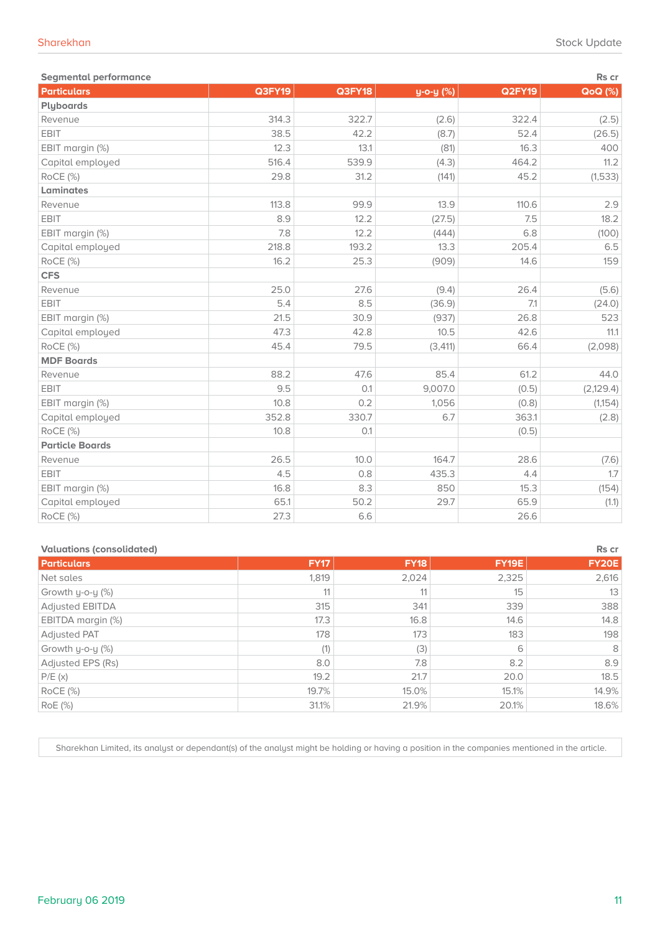| <b>Segmental performance</b><br>Rs cr |        |        |           |               |                |  |
|---------------------------------------|--------|--------|-----------|---------------|----------------|--|
| <b>Particulars</b>                    | Q3FY19 | Q3FY18 | y-o-y (%) | <b>Q2FY19</b> | <b>QoQ</b> (%) |  |
| Plyboards                             |        |        |           |               |                |  |
| Revenue                               | 314.3  | 322.7  | (2.6)     | 322.4         | (2.5)          |  |
| EBIT                                  | 38.5   | 42.2   | (8.7)     | 52.4          | (26.5)         |  |
| EBIT margin (%)                       | 12.3   | 13.1   | (81)      | 16.3          | 400            |  |
| Capital employed                      | 516.4  | 539.9  | (4.3)     | 464.2         | 11.2           |  |
| RoCE (%)                              | 29.8   | 31.2   | (141)     | 45.2          | (1,533)        |  |
| Laminates                             |        |        |           |               |                |  |
| Revenue                               | 113.8  | 99.9   | 13.9      | 110.6         | 2.9            |  |
| EBIT                                  | 8.9    | 12.2   | (27.5)    | 7.5           | 18.2           |  |
| EBIT margin (%)                       | 7.8    | 12.2   | (444)     | 6.8           | (100)          |  |
| Capital employed                      | 218.8  | 193.2  | 13.3      | 205.4         | 6.5            |  |
| RoCE (%)                              | 16.2   | 25.3   | (909)     | 14.6          | 159            |  |
| <b>CFS</b>                            |        |        |           |               |                |  |
| Revenue                               | 25.0   | 27.6   | (9.4)     | 26.4          | (5.6)          |  |
| EBIT                                  | 5.4    | 8.5    | (36.9)    | 7.1           | (24.0)         |  |
| EBIT margin (%)                       | 21.5   | 30.9   | (937)     | 26.8          | 523            |  |
| Capital employed                      | 47.3   | 42.8   | 10.5      | 42.6          | 11.1           |  |
| RoCE (%)                              | 45.4   | 79.5   | (3, 411)  | 66.4          | (2,098)        |  |
| <b>MDF Boards</b>                     |        |        |           |               |                |  |
| Revenue                               | 88.2   | 47.6   | 85.4      | 61.2          | 44.0           |  |
| EBIT                                  | 9.5    | O.1    | 9,007.0   | (0.5)         | (2,129.4)      |  |
| EBIT margin (%)                       | 10.8   | 0.2    | 1,056     | (0.8)         | (1,154)        |  |
| Capital employed                      | 352.8  | 330.7  | 6.7       | 363.1         | (2.8)          |  |
| RoCE (%)                              | 10.8   | O.1    |           | (0.5)         |                |  |
| <b>Particle Boards</b>                |        |        |           |               |                |  |
| Revenue                               | 26.5   | 10.0   | 164.7     | 28.6          | (7.6)          |  |
| EBIT                                  | 4.5    | 0.8    | 435.3     | 4.4           | 1.7            |  |
| EBIT margin (%)                       | 16.8   | 8.3    | 850       | 15.3          | (154)          |  |
| Capital employed                      | 65.1   | 50.2   | 29.7      | 65.9          | (1.1)          |  |
| RoCE (%)                              | 27.3   | 6.6    |           | 26.6          |                |  |

| <b>Valuations (consolidated)</b><br>Rs cr |             |             |              |              |
|-------------------------------------------|-------------|-------------|--------------|--------------|
| <b>Particulars</b>                        | <b>FY17</b> | <b>FY18</b> | <b>FY19E</b> | <b>FY20E</b> |
| Net sales                                 | 1,819       | 2,024       | 2,325        | 2,616        |
| Growth y-o-y (%)                          | 11          | 11          | 15           | 13           |
| Adjusted EBITDA                           | 315         | 341         | 339          | 388          |
| EBITDA margin (%)                         | 17.3        | 16.8        | 14.6         | 14.8         |
| <b>Adjusted PAT</b>                       | 178         | 173         | 183          | 198          |
| Growth y-o-y (%)                          | (1)         | (3)         | 6            | 8            |
| Adjusted EPS (Rs)                         | 8.0         | 7.8         | 8.2          | 8.9          |
| P/E(x)                                    | 19.2        | 21.7        | 20.0         | 18.5         |
| $ROCE$ $(\%)$                             | 19.7%       | 15.0%       | 15.1%        | 14.9%        |
| RoE (%)                                   | 31.1%       | 21.9%       | 20.1%        | 18.6%        |

Sharekhan Limited, its analyst or dependant(s) of the analyst might be holding or having a position in the companies mentioned in the article.